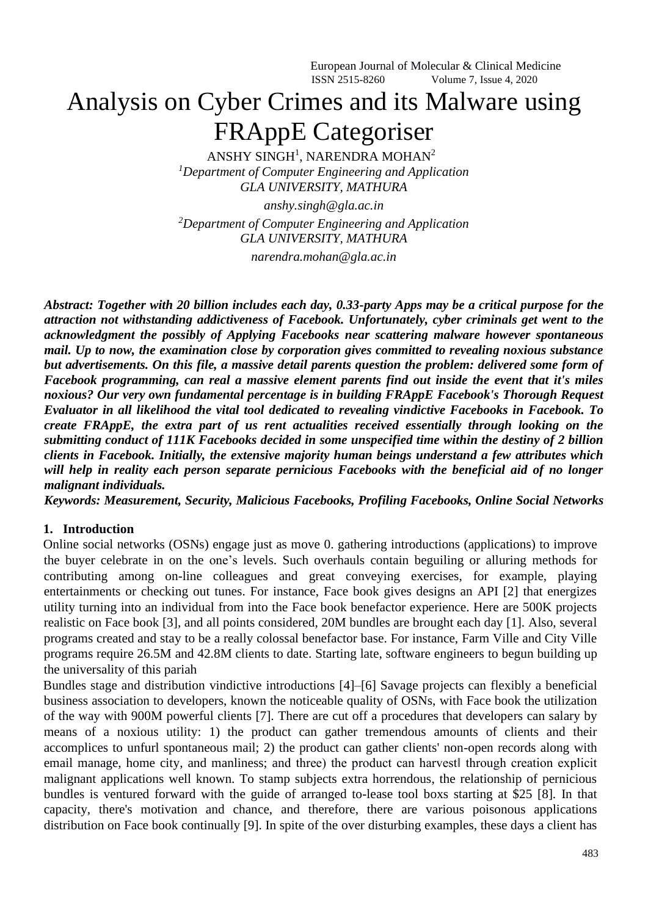# Analysis on Cyber Crimes and its Malware using FRAppE Categoriser

ANSHY SINGH<sup>1</sup>, NARENDRA MOHAN<sup>2</sup> *<sup>1</sup>Department of Computer Engineering and Application GLA UNIVERSITY, MATHURA*

*anshy.singh@gla.ac.in <sup>2</sup>Department of Computer Engineering and Application GLA UNIVERSITY, MATHURA narendra.mohan@gla.ac.in*

*Abstract: Together with 20 billion includes each day, 0.33-party Apps may be a critical purpose for the attraction not withstanding addictiveness of Facebook. Unfortunately, cyber criminals get went to the acknowledgment the possibly of Applying Facebooks near scattering malware however spontaneous mail. Up to now, the examination close by corporation gives committed to revealing noxious substance but advertisements. On this file, a massive detail parents question the problem: delivered some form of Facebook programming, can real a massive element parents find out inside the event that it's miles noxious? Our very own fundamental percentage is in building FRAppE Facebook's Thorough Request Evaluator in all likelihood the vital tool dedicated to revealing vindictive Facebooks in Facebook. To create FRAppE, the extra part of us rent actualities received essentially through looking on the submitting conduct of 111K Facebooks decided in some unspecified time within the destiny of 2 billion clients in Facebook. Initially, the extensive majority human beings understand a few attributes which will help in reality each person separate pernicious Facebooks with the beneficial aid of no longer malignant individuals.* 

*Keywords: Measurement, Security, Malicious Facebooks, Profiling Facebooks, Online Social Networks* 

## **1. Introduction**

Online social networks (OSNs) engage just as move 0. gathering introductions (applications) to improve the buyer celebrate in on the one's levels. Such overhauls contain beguiling or alluring methods for contributing among on-line colleagues and great conveying exercises, for example, playing entertainments or checking out tunes. For instance, Face book gives designs an API [2] that energizes utility turning into an individual from into the Face book benefactor experience. Here are 500K projects realistic on Face book [3], and all points considered, 20M bundles are brought each day [1]. Also, several programs created and stay to be a really colossal benefactor base. For instance, Farm Ville and City Ville programs require 26.5M and 42.8M clients to date. Starting late, software engineers to begun building up the universality of this pariah

Bundles stage and distribution vindictive introductions [4]–[6] Savage projects can flexibly a beneficial business association to developers, known the noticeable quality of OSNs, with Face book the utilization of the way with 900M powerful clients [7]. There are cut off a procedures that developers can salary by means of a noxious utility: 1) the product can gather tremendous amounts of clients and their accomplices to unfurl spontaneous mail; 2) the product can gather clients' non-open records along with email manage, home city, and manliness; and three) the product can harvest‖ through creation explicit malignant applications well known. To stamp subjects extra horrendous, the relationship of pernicious bundles is ventured forward with the guide of arranged to-lease tool boxs starting at \$25 [8]. In that capacity, there's motivation and chance, and therefore, there are various poisonous applications distribution on Face book continually [9]. In spite of the over disturbing examples, these days a client has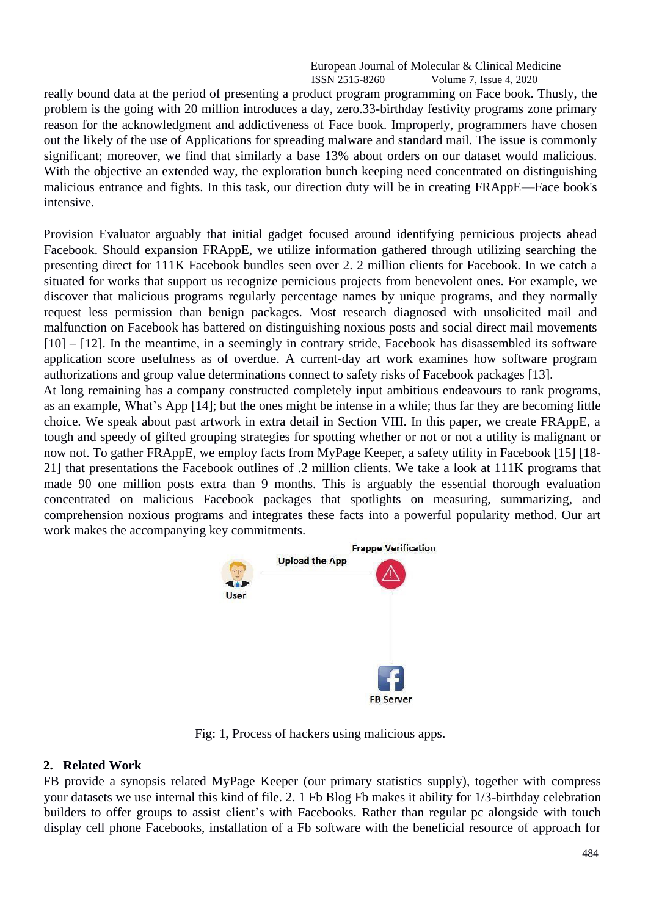really bound data at the period of presenting a product program programming on Face book. Thusly, the problem is the going with 20 million introduces a day, zero.33-birthday festivity programs zone primary reason for the acknowledgment and addictiveness of Face book. Improperly, programmers have chosen out the likely of the use of Applications for spreading malware and standard mail. The issue is commonly significant; moreover, we find that similarly a base 13% about orders on our dataset would malicious. With the objective an extended way, the exploration bunch keeping need concentrated on distinguishing malicious entrance and fights. In this task, our direction duty will be in creating FRAppE—Face book's intensive.

Provision Evaluator arguably that initial gadget focused around identifying pernicious projects ahead Facebook. Should expansion FRAppE, we utilize information gathered through utilizing searching the presenting direct for 111K Facebook bundles seen over 2. 2 million clients for Facebook. In we catch a situated for works that support us recognize pernicious projects from benevolent ones. For example, we discover that malicious programs regularly percentage names by unique programs, and they normally request less permission than benign packages. Most research diagnosed with unsolicited mail and malfunction on Facebook has battered on distinguishing noxious posts and social direct mail movements [10] – [12]. In the meantime, in a seemingly in contrary stride, Facebook has disassembled its software application score usefulness as of overdue. A current-day art work examines how software program authorizations and group value determinations connect to safety risks of Facebook packages [13].

At long remaining has a company constructed completely input ambitious endeavours to rank programs, as an example, What's App [14]; but the ones might be intense in a while; thus far they are becoming little choice. We speak about past artwork in extra detail in Section VIII. In this paper, we create FRAppE, a tough and speedy of gifted grouping strategies for spotting whether or not or not a utility is malignant or now not. To gather FRAppE, we employ facts from MyPage Keeper, a safety utility in Facebook [15] [18- 21] that presentations the Facebook outlines of .2 million clients. We take a look at 111K programs that made 90 one million posts extra than 9 months. This is arguably the essential thorough evaluation concentrated on malicious Facebook packages that spotlights on measuring, summarizing, and comprehension noxious programs and integrates these facts into a powerful popularity method. Our art work makes the accompanying key commitments.



Fig: 1, Process of hackers using malicious apps.

## **2. Related Work**

FB provide a synopsis related MyPage Keeper (our primary statistics supply), together with compress your datasets we use internal this kind of file. 2. 1 Fb Blog Fb makes it ability for 1/3-birthday celebration builders to offer groups to assist client's with Facebooks. Rather than regular pc alongside with touch display cell phone Facebooks, installation of a Fb software with the beneficial resource of approach for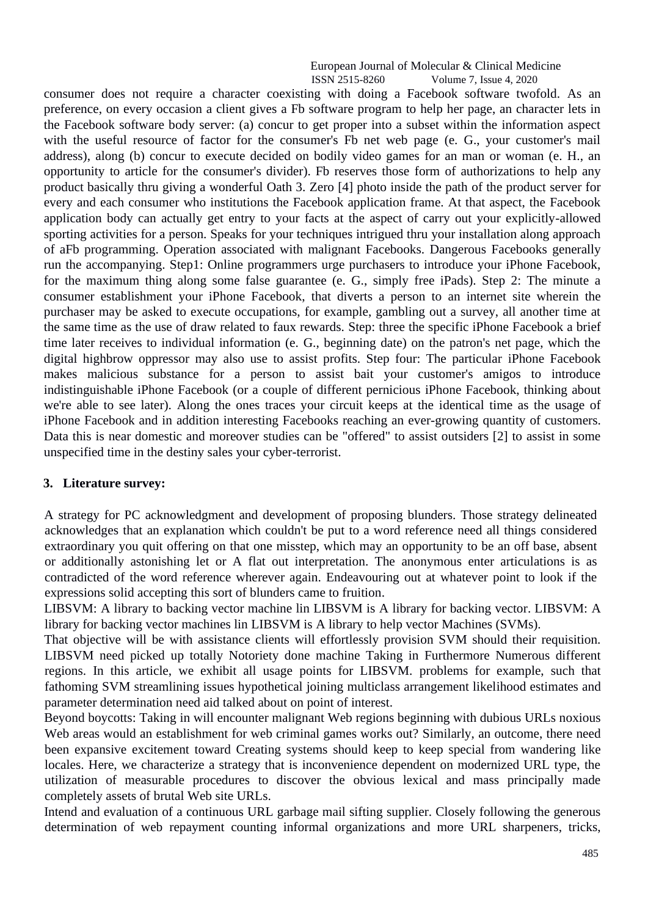consumer does not require a character coexisting with doing a Facebook software twofold. As an preference, on every occasion a client gives a Fb software program to help her page, an character lets in the Facebook software body server: (a) concur to get proper into a subset within the information aspect with the useful resource of factor for the consumer's Fb net web page (e. G., your customer's mail address), along (b) concur to execute decided on bodily video games for an man or woman (e. H., an opportunity to article for the consumer's divider). Fb reserves those form of authorizations to help any product basically thru giving a wonderful Oath 3. Zero [4] photo inside the path of the product server for every and each consumer who institutions the Facebook application frame. At that aspect, the Facebook application body can actually get entry to your facts at the aspect of carry out your explicitly-allowed sporting activities for a person. Speaks for your techniques intrigued thru your installation along approach of aFb programming. Operation associated with malignant Facebooks. Dangerous Facebooks generally run the accompanying. Step1: Online programmers urge purchasers to introduce your iPhone Facebook, for the maximum thing along some false guarantee (e. G., simply free iPads). Step 2: The minute a consumer establishment your iPhone Facebook, that diverts a person to an internet site wherein the purchaser may be asked to execute occupations, for example, gambling out a survey, all another time at the same time as the use of draw related to faux rewards. Step: three the specific iPhone Facebook a brief time later receives to individual information (e. G., beginning date) on the patron's net page, which the digital highbrow oppressor may also use to assist profits. Step four: The particular iPhone Facebook makes malicious substance for a person to assist bait your customer's amigos to introduce indistinguishable iPhone Facebook (or a couple of different pernicious iPhone Facebook, thinking about we're able to see later). Along the ones traces your circuit keeps at the identical time as the usage of iPhone Facebook and in addition interesting Facebooks reaching an ever-growing quantity of customers. Data this is near domestic and moreover studies can be "offered" to assist outsiders [2] to assist in some unspecified time in the destiny sales your cyber-terrorist.

#### **3. Literature survey:**

A strategy for PC acknowledgment and development of proposing blunders. Those strategy delineated acknowledges that an explanation which couldn't be put to a word reference need all things considered extraordinary you quit offering on that one misstep, which may an opportunity to be an off base, absent or additionally astonishing let or A flat out interpretation. The anonymous enter articulations is as contradicted of the word reference wherever again. Endeavouring out at whatever point to look if the expressions solid accepting this sort of blunders came to fruition.

LIBSVM: A library to backing vector machine lin LIBSVM is A library for backing vector. LIBSVM: A library for backing vector machines lin LIBSVM is A library to help vector Machines (SVMs).

That objective will be with assistance clients will effortlessly provision SVM should their requisition. LIBSVM need picked up totally Notoriety done machine Taking in Furthermore Numerous different regions. In this article, we exhibit all usage points for LIBSVM. problems for example, such that fathoming SVM streamlining issues hypothetical joining multiclass arrangement likelihood estimates and parameter determination need aid talked about on point of interest.

Beyond boycotts: Taking in will encounter malignant Web regions beginning with dubious URLs noxious Web areas would an establishment for web criminal games works out? Similarly, an outcome, there need been expansive excitement toward Creating systems should keep to keep special from wandering like locales. Here, we characterize a strategy that is inconvenience dependent on modernized URL type, the utilization of measurable procedures to discover the obvious lexical and mass principally made completely assets of brutal Web site URLs.

Intend and evaluation of a continuous URL garbage mail sifting supplier. Closely following the generous determination of web repayment counting informal organizations and more URL sharpeners, tricks,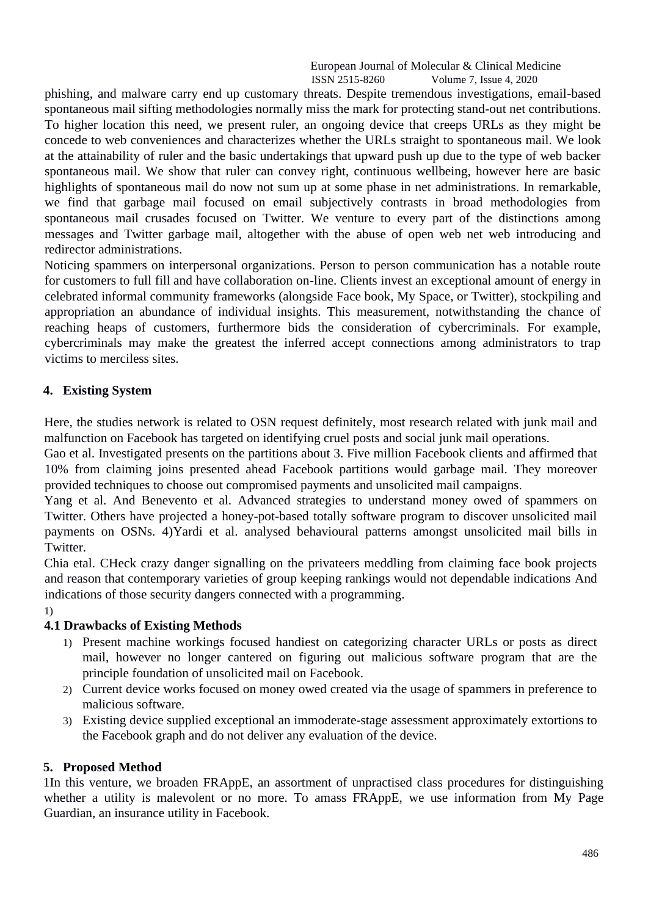phishing, and malware carry end up customary threats. Despite tremendous investigations, email-based spontaneous mail sifting methodologies normally miss the mark for protecting stand-out net contributions. To higher location this need, we present ruler, an ongoing device that creeps URLs as they might be concede to web conveniences and characterizes whether the URLs straight to spontaneous mail. We look at the attainability of ruler and the basic undertakings that upward push up due to the type of web backer spontaneous mail. We show that ruler can convey right, continuous wellbeing, however here are basic highlights of spontaneous mail do now not sum up at some phase in net administrations. In remarkable, we find that garbage mail focused on email subjectively contrasts in broad methodologies from spontaneous mail crusades focused on Twitter. We venture to every part of the distinctions among messages and Twitter garbage mail, altogether with the abuse of open web net web introducing and redirector administrations.

Noticing spammers on interpersonal organizations. Person to person communication has a notable route for customers to full fill and have collaboration on-line. Clients invest an exceptional amount of energy in celebrated informal community frameworks (alongside Face book, My Space, or Twitter), stockpiling and appropriation an abundance of individual insights. This measurement, notwithstanding the chance of reaching heaps of customers, furthermore bids the consideration of cybercriminals. For example, cybercriminals may make the greatest the inferred accept connections among administrators to trap victims to merciless sites.

## **4. Existing System**

Here, the studies network is related to OSN request definitely, most research related with junk mail and malfunction on Facebook has targeted on identifying cruel posts and social junk mail operations.

Gao et al. Investigated presents on the partitions about 3. Five million Facebook clients and affirmed that 10% from claiming joins presented ahead Facebook partitions would garbage mail. They moreover provided techniques to choose out compromised payments and unsolicited mail campaigns.

Yang et al. And Benevento et al. Advanced strategies to understand money owed of spammers on Twitter. Others have projected a honey-pot-based totally software program to discover unsolicited mail payments on OSNs. 4)Yardi et al. analysed behavioural patterns amongst unsolicited mail bills in Twitter.

Chia etal. CHeck crazy danger signalling on the privateers meddling from claiming face book projects and reason that contemporary varieties of group keeping rankings would not dependable indications And indications of those security dangers connected with a programming.

# 1)

## **4.1 Drawbacks of Existing Methods**

- 1) Present machine workings focused handiest on categorizing character URLs or posts as direct mail, however no longer cantered on figuring out malicious software program that are the principle foundation of unsolicited mail on Facebook.
- 2) Current device works focused on money owed created via the usage of spammers in preference to malicious software.
- 3) Existing device supplied exceptional an immoderate-stage assessment approximately extortions to the Facebook graph and do not deliver any evaluation of the device.

## **5. Proposed Method**

1In this venture, we broaden FRAppE, an assortment of unpractised class procedures for distinguishing whether a utility is malevolent or no more. To amass FRAppE, we use information from My Page Guardian, an insurance utility in Facebook.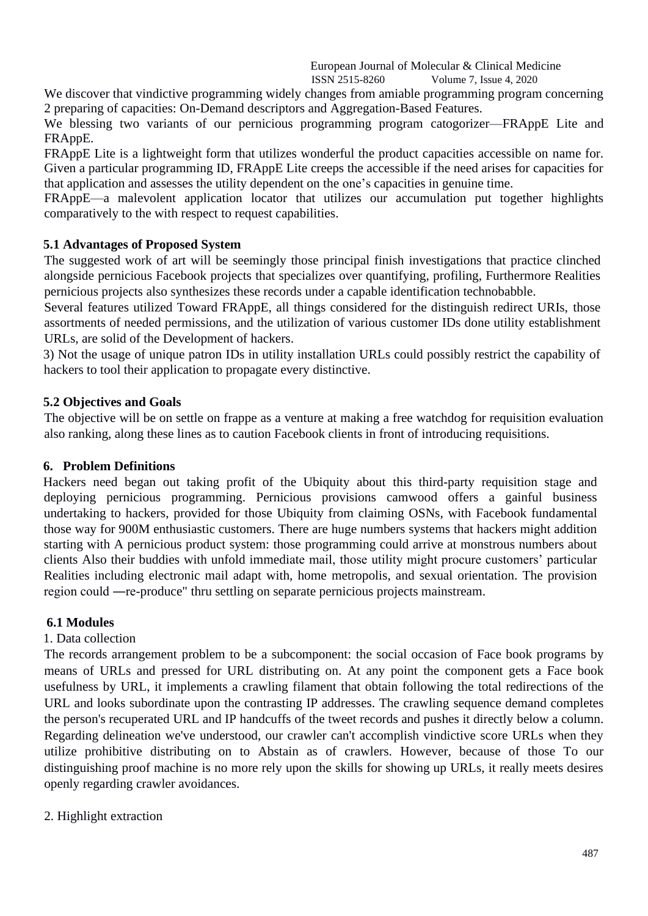We discover that vindictive programming widely changes from amiable programming program concerning 2 preparing of capacities: On-Demand descriptors and Aggregation-Based Features.

We blessing two variants of our pernicious programming program catogorizer—FRAppE Lite and FRAppE.

FRAppE Lite is a lightweight form that utilizes wonderful the product capacities accessible on name for. Given a particular programming ID, FRAppE Lite creeps the accessible if the need arises for capacities for that application and assesses the utility dependent on the one's capacities in genuine time.

FRAppE—a malevolent application locator that utilizes our accumulation put together highlights comparatively to the with respect to request capabilities.

## **5.1 Advantages of Proposed System**

The suggested work of art will be seemingly those principal finish investigations that practice clinched alongside pernicious Facebook projects that specializes over quantifying, profiling, Furthermore Realities pernicious projects also synthesizes these records under a capable identification technobabble.

Several features utilized Toward FRAppE, all things considered for the distinguish redirect URIs, those assortments of needed permissions, and the utilization of various customer IDs done utility establishment URLs, are solid of the Development of hackers.

3) Not the usage of unique patron IDs in utility installation URLs could possibly restrict the capability of hackers to tool their application to propagate every distinctive.

## **5.2 Objectives and Goals**

The objective will be on settle on frappe as a venture at making a free watchdog for requisition evaluation also ranking, along these lines as to caution Facebook clients in front of introducing requisitions.

## **6. Problem Definitions**

Hackers need began out taking profit of the Ubiquity about this third-party requisition stage and deploying pernicious programming. Pernicious provisions camwood offers a gainful business undertaking to hackers, provided for those Ubiquity from claiming OSNs, with Facebook fundamental those way for 900M enthusiastic customers. There are huge numbers systems that hackers might addition starting with A pernicious product system: those programming could arrive at monstrous numbers about clients Also their buddies with unfold immediate mail, those utility might procure customers' particular Realities including electronic mail adapt with, home metropolis, and sexual orientation. The provision region could ―re-produce" thru settling on separate pernicious projects mainstream.

## **6.1 Modules**

## 1. Data collection

The records arrangement problem to be a subcomponent: the social occasion of Face book programs by means of URLs and pressed for URL distributing on. At any point the component gets a Face book usefulness by URL, it implements a crawling filament that obtain following the total redirections of the URL and looks subordinate upon the contrasting IP addresses. The crawling sequence demand completes the person's recuperated URL and IP handcuffs of the tweet records and pushes it directly below a column. Regarding delineation we've understood, our crawler can't accomplish vindictive score URLs when they utilize prohibitive distributing on to Abstain as of crawlers. However, because of those To our distinguishing proof machine is no more rely upon the skills for showing up URLs, it really meets desires openly regarding crawler avoidances.

2. Highlight extraction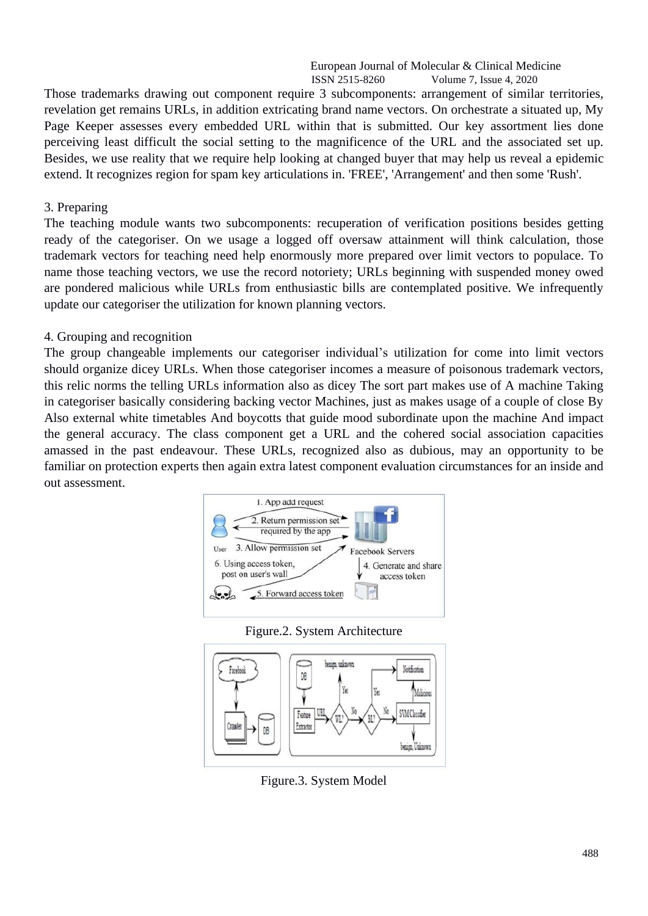Those trademarks drawing out component require 3 subcomponents: arrangement of similar territories, revelation get remains URLs, in addition extricating brand name vectors. On orchestrate a situated up, My Page Keeper assesses every embedded URL within that is submitted. Our key assortment lies done perceiving least difficult the social setting to the magnificence of the URL and the associated set up. Besides, we use reality that we require help looking at changed buyer that may help us reveal a epidemic extend. It recognizes region for spam key articulations in. 'FREE', 'Arrangement' and then some 'Rush'.

## 3. Preparing

The teaching module wants two subcomponents: recuperation of verification positions besides getting ready of the categoriser. On we usage a logged off oversaw attainment will think calculation, those trademark vectors for teaching need help enormously more prepared over limit vectors to populace. To name those teaching vectors, we use the record notoriety; URLs beginning with suspended money owed are pondered malicious while URLs from enthusiastic bills are contemplated positive. We infrequently update our categoriser the utilization for known planning vectors.

## 4. Grouping and recognition

The group changeable implements our categoriser individual's utilization for come into limit vectors should organize dicey URLs. When those categoriser incomes a measure of poisonous trademark vectors, this relic norms the telling URLs information also as dicey The sort part makes use of A machine Taking in categoriser basically considering backing vector Machines, just as makes usage of a couple of close By Also external white timetables And boycotts that guide mood subordinate upon the machine And impact the general accuracy. The class component get a URL and the cohered social association capacities amassed in the past endeavour. These URLs, recognized also as dubious, may an opportunity to be familiar on protection experts then again extra latest component evaluation circumstances for an inside and out assessment.







Figure.3. System Model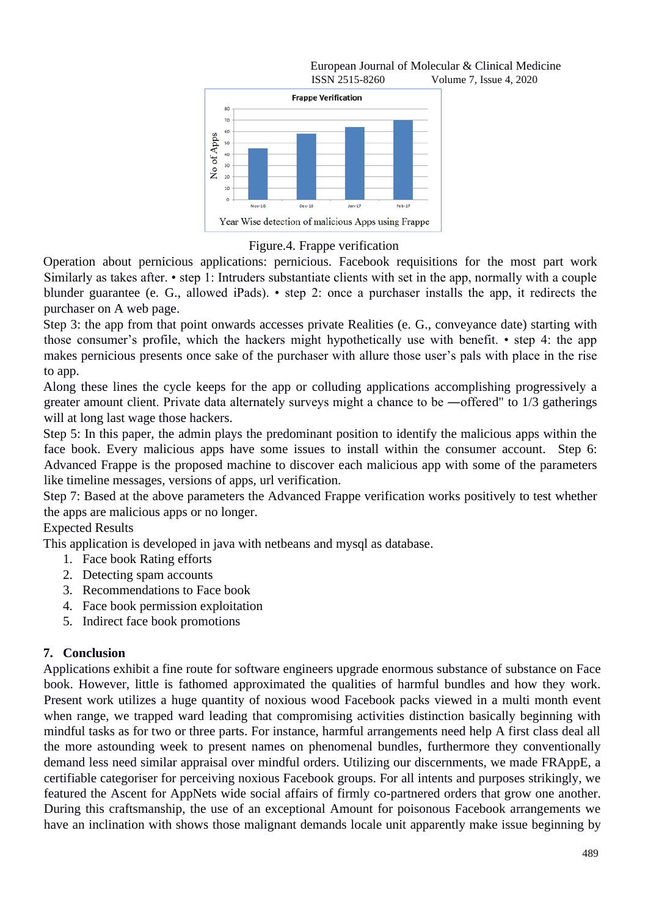

## Figure.4. Frappe verification

Operation about pernicious applications: pernicious. Facebook requisitions for the most part work Similarly as takes after. • step 1: Intruders substantiate clients with set in the app, normally with a couple blunder guarantee (e. G., allowed iPads). • step 2: once a purchaser installs the app, it redirects the purchaser on A web page.

Step 3: the app from that point onwards accesses private Realities (e. G., conveyance date) starting with those consumer's profile, which the hackers might hypothetically use with benefit. • step 4: the app makes pernicious presents once sake of the purchaser with allure those user's pals with place in the rise to app.

Along these lines the cycle keeps for the app or colluding applications accomplishing progressively a greater amount client. Private data alternately surveys might a chance to be ―offered" to 1/3 gatherings will at long last wage those hackers.

Step 5: In this paper, the admin plays the predominant position to identify the malicious apps within the face book. Every malicious apps have some issues to install within the consumer account. Step 6: Advanced Frappe is the proposed machine to discover each malicious app with some of the parameters like timeline messages, versions of apps, url verification.

Step 7: Based at the above parameters the Advanced Frappe verification works positively to test whether the apps are malicious apps or no longer.

## Expected Results

This application is developed in java with netbeans and mysql as database.

- 1. Face book Rating efforts
- 2. Detecting spam accounts
- 3. Recommendations to Face book
- 4. Face book permission exploitation
- 5. Indirect face book promotions

## **7. Conclusion**

Applications exhibit a fine route for software engineers upgrade enormous substance of substance on Face book. However, little is fathomed approximated the qualities of harmful bundles and how they work. Present work utilizes a huge quantity of noxious wood Facebook packs viewed in a multi month event when range, we trapped ward leading that compromising activities distinction basically beginning with mindful tasks as for two or three parts. For instance, harmful arrangements need help A first class deal all the more astounding week to present names on phenomenal bundles, furthermore they conventionally demand less need similar appraisal over mindful orders. Utilizing our discernments, we made FRAppE, a certifiable categoriser for perceiving noxious Facebook groups. For all intents and purposes strikingly, we featured the Ascent for AppNets wide social affairs of firmly co-partnered orders that grow one another. During this craftsmanship, the use of an exceptional Amount for poisonous Facebook arrangements we have an inclination with shows those malignant demands locale unit apparently make issue beginning by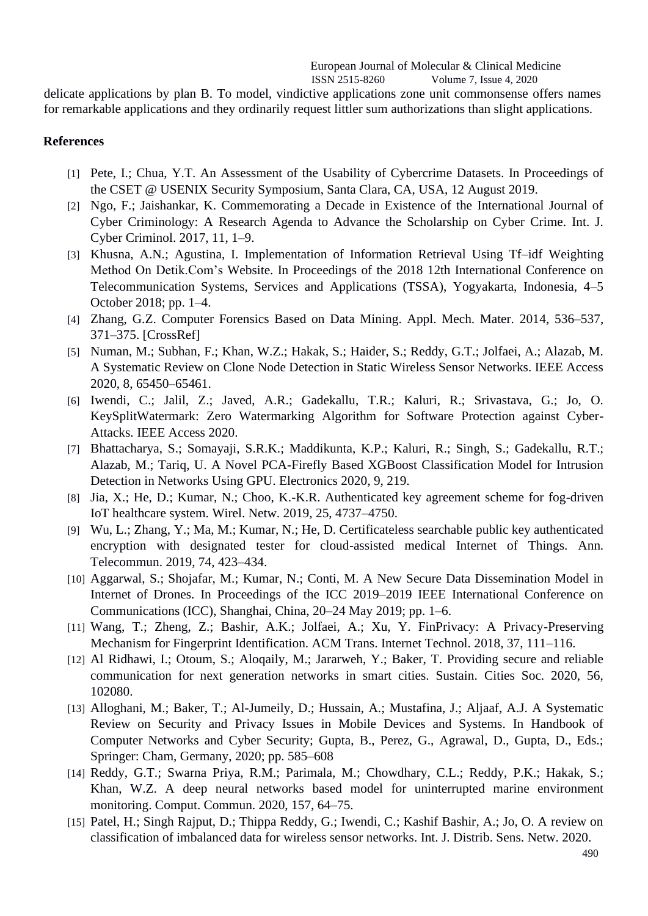delicate applications by plan B. To model, vindictive applications zone unit commonsense offers names for remarkable applications and they ordinarily request littler sum authorizations than slight applications.

#### **References**

- [1] Pete, I.; Chua, Y.T. An Assessment of the Usability of Cybercrime Datasets. In Proceedings of the CSET @ USENIX Security Symposium, Santa Clara, CA, USA, 12 August 2019.
- [2] Ngo, F.; Jaishankar, K. Commemorating a Decade in Existence of the International Journal of Cyber Criminology: A Research Agenda to Advance the Scholarship on Cyber Crime. Int. J. Cyber Criminol. 2017, 11, 1–9.
- [3] Khusna, A.N.; Agustina, I. Implementation of Information Retrieval Using Tf–idf Weighting Method On Detik.Com's Website. In Proceedings of the 2018 12th International Conference on Telecommunication Systems, Services and Applications (TSSA), Yogyakarta, Indonesia, 4–5 October 2018; pp. 1–4.
- [4] Zhang, G.Z. Computer Forensics Based on Data Mining. Appl. Mech. Mater. 2014, 536–537, 371–375. [CrossRef]
- [5] Numan, M.; Subhan, F.; Khan, W.Z.; Hakak, S.; Haider, S.; Reddy, G.T.; Jolfaei, A.; Alazab, M. A Systematic Review on Clone Node Detection in Static Wireless Sensor Networks. IEEE Access 2020, 8, 65450–65461.
- [6] Iwendi, C.; Jalil, Z.; Javed, A.R.; Gadekallu, T.R.; Kaluri, R.; Srivastava, G.; Jo, O. KeySplitWatermark: Zero Watermarking Algorithm for Software Protection against Cyber-Attacks. IEEE Access 2020.
- [7] Bhattacharya, S.; Somayaji, S.R.K.; Maddikunta, K.P.; Kaluri, R.; Singh, S.; Gadekallu, R.T.; Alazab, M.; Tariq, U. A Novel PCA-Firefly Based XGBoost Classification Model for Intrusion Detection in Networks Using GPU. Electronics 2020, 9, 219.
- [8] Jia, X.; He, D.; Kumar, N.; Choo, K.-K.R. Authenticated key agreement scheme for fog-driven IoT healthcare system. Wirel. Netw. 2019, 25, 4737–4750.
- [9] Wu, L.; Zhang, Y.; Ma, M.; Kumar, N.; He, D. Certificateless searchable public key authenticated encryption with designated tester for cloud-assisted medical Internet of Things. Ann. Telecommun. 2019, 74, 423–434.
- [10] Aggarwal, S.; Shojafar, M.; Kumar, N.; Conti, M. A New Secure Data Dissemination Model in Internet of Drones. In Proceedings of the ICC 2019–2019 IEEE International Conference on Communications (ICC), Shanghai, China, 20–24 May 2019; pp. 1–6.
- [11] Wang, T.; Zheng, Z.; Bashir, A.K.; Jolfaei, A.; Xu, Y. FinPrivacy: A Privacy-Preserving Mechanism for Fingerprint Identification. ACM Trans. Internet Technol. 2018, 37, 111–116.
- [12] Al Ridhawi, I.; Otoum, S.; Aloqaily, M.; Jararweh, Y.; Baker, T. Providing secure and reliable communication for next generation networks in smart cities. Sustain. Cities Soc. 2020, 56, 102080.
- [13] Alloghani, M.; Baker, T.; Al-Jumeily, D.; Hussain, A.; Mustafina, J.; Aljaaf, A.J. A Systematic Review on Security and Privacy Issues in Mobile Devices and Systems. In Handbook of Computer Networks and Cyber Security; Gupta, B., Perez, G., Agrawal, D., Gupta, D., Eds.; Springer: Cham, Germany, 2020; pp. 585–608
- [14] Reddy, G.T.; Swarna Priya, R.M.; Parimala, M.; Chowdhary, C.L.; Reddy, P.K.; Hakak, S.; Khan, W.Z. A deep neural networks based model for uninterrupted marine environment monitoring. Comput. Commun. 2020, 157, 64–75.
- [15] Patel, H.; Singh Rajput, D.; Thippa Reddy, G.; Iwendi, C.; Kashif Bashir, A.; Jo, O. A review on classification of imbalanced data for wireless sensor networks. Int. J. Distrib. Sens. Netw. 2020.